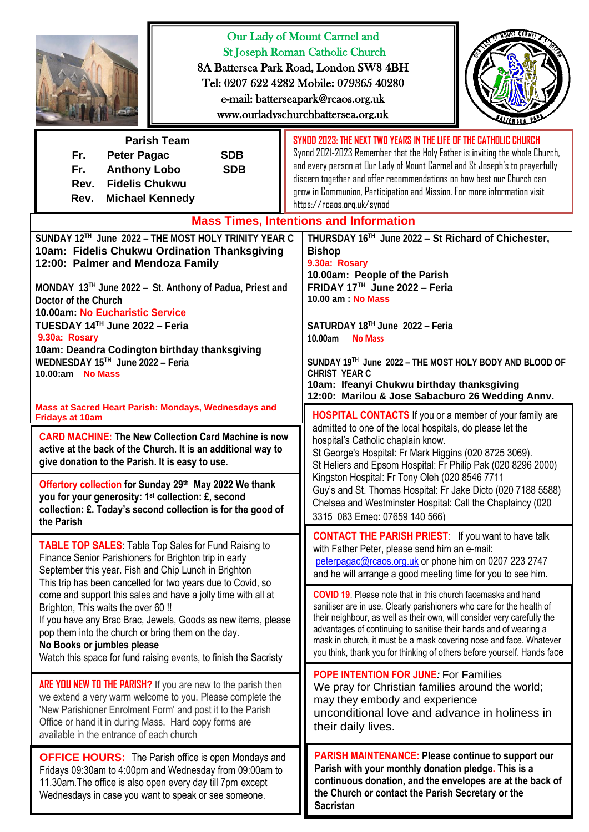|                                                                                                                                                                                                                                                                                                                                                                                                                                                                           | Our Lady of Mount Carmel and<br><b>St Joseph Roman Catholic Church</b><br>8A Battersea Park Road, London SW8 4BH<br>Tel: 0207 622 4282 Mobile: 079365 40280<br>e-mail: batterseapark@rcaos.org.uk<br>www.ourladyschurchbattersea.org.uk                                                                                                                                                                                                                                                                                                                                                                                     |  |  |
|---------------------------------------------------------------------------------------------------------------------------------------------------------------------------------------------------------------------------------------------------------------------------------------------------------------------------------------------------------------------------------------------------------------------------------------------------------------------------|-----------------------------------------------------------------------------------------------------------------------------------------------------------------------------------------------------------------------------------------------------------------------------------------------------------------------------------------------------------------------------------------------------------------------------------------------------------------------------------------------------------------------------------------------------------------------------------------------------------------------------|--|--|
| <b>Parish Team</b><br>Fr.<br><b>Peter Pagac</b><br><b>SDB</b><br><b>SDB</b><br><b>Anthony Lobo</b><br>Fr.<br><b>Fidelis Chukwu</b><br>Rev.<br>Rev.<br><b>Michael Kennedy</b>                                                                                                                                                                                                                                                                                              | SYNDD 2023: THE NEXT TWD YEARS IN THE LIFE OF THE CATHOLIC CHURCH<br>Synod 2021-2023 Remember that the Holy Father is inviting the whole Church,<br>and every person at Our Lady of Mount Carmel and St Joseph's to prayerfully<br>discern together and offer recommendations on how best our Church can<br>grow in Communion, Participation and Mission. For more information visit<br>https://rcaps.org.uk/synod                                                                                                                                                                                                          |  |  |
| <b>Mass Times, Intentions and Information</b><br>SUNDAY 12TH June 2022 - THE MOST HOLY TRINITY YEAR C<br>THURSDAY 16TH June 2022 - St Richard of Chichester,<br>10am: Fidelis Chukwu Ordination Thanksgiving<br><b>Bishop</b><br>9.30a: Rosary<br>12:00: Palmer and Mendoza Family<br>10.00am: People of the Parish<br>FRIDAY 17 <sup>TH</sup> June 2022 - Feria<br>MONDAY 13TH June 2022 - St. Anthony of Padua, Priest and<br>10.00 am: No Mass<br>Doctor of the Church |                                                                                                                                                                                                                                                                                                                                                                                                                                                                                                                                                                                                                             |  |  |
| 10.00am: No Eucharistic Service<br>TUESDAY 14™ June 2022 - Feria<br>9.30a: Rosary<br>10am: Deandra Codington birthday thanksgiving<br>WEDNESDAY 15TH June 2022 - Feria<br>10.00:am No Mass                                                                                                                                                                                                                                                                                | SATURDAY 18TH June 2022 - Feria<br>10.00am<br><b>No Mass</b><br>SUNDAY 19TH June 2022 - THE MOST HOLY BODY AND BLOOD OF<br><b>CHRIST YEAR C</b><br>10am: Ifeanyi Chukwu birthday thanksgiving<br>12:00: Marilou & Jose Sabacburo 26 Wedding Annv.                                                                                                                                                                                                                                                                                                                                                                           |  |  |
| Mass at Sacred Heart Parish: Mondays, Wednesdays and<br><b>Fridays at 10am</b><br><b>CARD MACHINE: The New Collection Card Machine is now</b><br>active at the back of the Church. It is an additional way to<br>give donation to the Parish. It is easy to use.<br>Offertory collection for Sunday 29th May 2022 We thank                                                                                                                                                | <b>HOSPITAL CONTACTS</b> If you or a member of your family are<br>admitted to one of the local hospitals, do please let the<br>hospital's Catholic chaplain know.<br>St George's Hospital: Fr Mark Higgins (020 8725 3069).<br>St Heliers and Epsom Hospital: Fr Philip Pak (020 8296 2000)<br>Kingston Hospital: Fr Tony Oleh (020 8546 7711<br>Guy's and St. Thomas Hospital: Fr Jake Dicto (020 7188 5588)<br>Chelsea and Westminster Hospital: Call the Chaplaincy (020<br>3315 083 Emea: 07659 140 566)<br><b>CONTACT THE PARISH PRIEST:</b> If you want to have talk<br>with Father Peter, please send him an e-mail: |  |  |
| you for your generosity: 1 <sup>st</sup> collection: £, second<br>collection: £. Today's second collection is for the good of<br>the Parish<br><b>TABLE TOP SALES:</b> Table Top Sales for Fund Raising to                                                                                                                                                                                                                                                                |                                                                                                                                                                                                                                                                                                                                                                                                                                                                                                                                                                                                                             |  |  |
| Finance Senior Parishioners for Brighton trip in early<br>September this year. Fish and Chip Lunch in Brighton<br>This trip has been cancelled for two years due to Covid, so<br>come and support this sales and have a jolly time with all at<br>Brighton, This waits the over 60 !!<br>If you have any Brac Brac, Jewels, Goods as new items, please<br>pop them into the church or bring them on the day.                                                              | peterpagac@rcaos.org.uk or phone him on 0207 223 2747<br>and he will arrange a good meeting time for you to see him.<br><b>COVID 19.</b> Please note that in this church facemasks and hand<br>sanitiser are in use. Clearly parishioners who care for the health of<br>their neighbour, as well as their own, will consider very carefully the<br>advantages of continuing to sanitise their hands and of wearing a                                                                                                                                                                                                        |  |  |
| No Books or jumbles please<br>Watch this space for fund raising events, to finish the Sacristy<br><b>ARE YOU NEW TO THE PARISH?</b> If you are new to the parish then<br>we extend a very warm welcome to you. Please complete the<br>'New Parishioner Enrolment Form' and post it to the Parish<br>Office or hand it in during Mass. Hard copy forms are                                                                                                                 | mask in church, it must be a mask covering nose and face. Whatever<br>you think, thank you for thinking of others before yourself. Hands face<br><b>POPE INTENTION FOR JUNE: For Families</b><br>We pray for Christian families around the world;<br>may they embody and experience<br>unconditional love and advance in holiness in<br>their daily lives.                                                                                                                                                                                                                                                                  |  |  |
| available in the entrance of each church<br><b>OFFICE HOURS:</b> The Parish office is open Mondays and<br>Fridays 09:30am to 4:00pm and Wednesday from 09:00am to<br>11.30am. The office is also open every day till 7pm except<br>Wednesdays in case you want to speak or see someone.                                                                                                                                                                                   | <b>PARISH MAINTENANCE: Please continue to support our</b><br>Parish with your monthly donation pledge. This is a<br>continuous donation, and the envelopes are at the back of<br>the Church or contact the Parish Secretary or the<br><b>Sacristan</b>                                                                                                                                                                                                                                                                                                                                                                      |  |  |